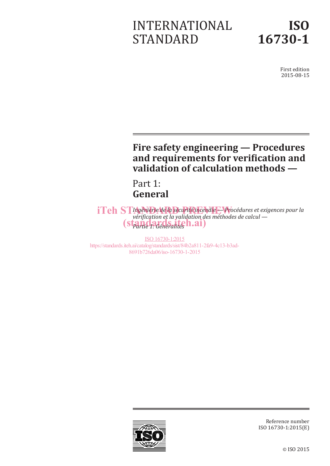# INTERNATIONAL STANDARD



First edition 2015-08-15

### **Fire safety engineering — Procedures and requirements for verification and validation of calculation methods —**

Part 1: **General**

*ITeh STIngénierie de la sécurité incendie — Procédures et exigences pour la vérification et la validation des méthodes de calcul — Partie 1: Généralités* (standards.iteh.ai)

ISO 16730-1:2015 https://standards.iteh.ai/catalog/standards/sist/84b2a811-2fa9-4c13-b3ad-8691b726da06/iso-16730-1-2015



Reference number ISO 16730-1:2015(E)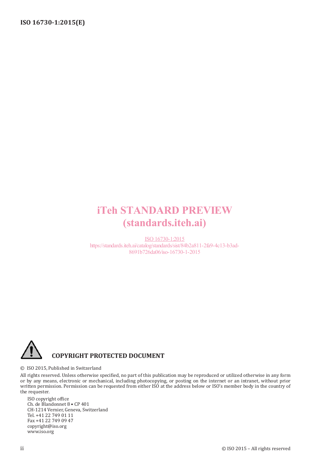### iTeh STANDARD PREVIEW (standards.iteh.ai)

ISO 16730-1:2015 https://standards.iteh.ai/catalog/standards/sist/84b2a811-2fa9-4c13-b3ad-8691b726da06/iso-16730-1-2015



#### © ISO 2015, Published in Switzerland

All rights reserved. Unless otherwise specified, no part of this publication may be reproduced or utilized otherwise in any form or by any means, electronic or mechanical, including photocopying, or posting on the internet or an intranet, without prior written permission. Permission can be requested from either ISO at the address below or ISO's member body in the country of the requester.

ISO copyright office Ch. de Blandonnet 8 • CP 401 CH-1214 Vernier, Geneva, Switzerland Tel. +41 22 749 01 11 Fax +41 22 749 09 47 copyright@iso.org www.iso.org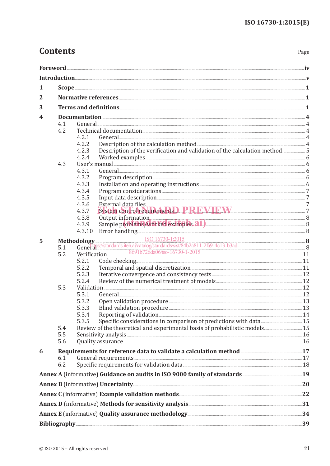### **Contents**

Page

| 1              |                                                                                                                                                                 |                                                                                                                                                                                                                                              |  |
|----------------|-----------------------------------------------------------------------------------------------------------------------------------------------------------------|----------------------------------------------------------------------------------------------------------------------------------------------------------------------------------------------------------------------------------------------|--|
| $\overline{2}$ |                                                                                                                                                                 |                                                                                                                                                                                                                                              |  |
| 3              |                                                                                                                                                                 |                                                                                                                                                                                                                                              |  |
| 4              |                                                                                                                                                                 |                                                                                                                                                                                                                                              |  |
|                | 4.1                                                                                                                                                             |                                                                                                                                                                                                                                              |  |
|                | 4.2                                                                                                                                                             |                                                                                                                                                                                                                                              |  |
|                |                                                                                                                                                                 | 4.2.1                                                                                                                                                                                                                                        |  |
|                |                                                                                                                                                                 | 4.2.2                                                                                                                                                                                                                                        |  |
|                |                                                                                                                                                                 | Description of the verification and validation of the calculation method5<br>4.2.3                                                                                                                                                           |  |
|                |                                                                                                                                                                 | 4.2.4                                                                                                                                                                                                                                        |  |
|                | 4.3                                                                                                                                                             | 4.3.1<br>General <u>2006</u> 6 6 6 6 6 6 6 6 6 6 6 6 6 7 6 7 7 8 7 7 8 7 7 8 7 7 8 7 7 8 7 7 8 7 7 8 7 7 8 7 7 8 7 7 8 7 7 8 7 7 8 7 7 8 7 7 8 7 7 8 7 7 8 7 7 8 7 7 8 7 7 8 7 7 8 7 7 8 7 7 8 7 7 8 7 7 8 7 7 8 7 7 8 7 7 8 7 7 8 7 7 8 7 7 |  |
|                |                                                                                                                                                                 | 4.3.2                                                                                                                                                                                                                                        |  |
|                |                                                                                                                                                                 | 4.3.3                                                                                                                                                                                                                                        |  |
|                |                                                                                                                                                                 | 4.3.4                                                                                                                                                                                                                                        |  |
|                |                                                                                                                                                                 | 4.3.5                                                                                                                                                                                                                                        |  |
|                |                                                                                                                                                                 | 4.3.6                                                                                                                                                                                                                                        |  |
|                |                                                                                                                                                                 | External data files 7<br>System control requirements D PRRVIEW<br>4.3.7                                                                                                                                                                      |  |
|                |                                                                                                                                                                 | Output information 8<br>4.3.8                                                                                                                                                                                                                |  |
|                |                                                                                                                                                                 | 4.3.9                                                                                                                                                                                                                                        |  |
|                |                                                                                                                                                                 | 4.3.10                                                                                                                                                                                                                                       |  |
| 5              | 8 Methodology 50 16730-12015<br>5.1 General Standards.iteh.ai/catalog/standards/sist/84b2a811-2fa9-4c13-b3ad-<br>5.2 Verification 8691b726da06/iso-16730-1-2015 |                                                                                                                                                                                                                                              |  |
|                |                                                                                                                                                                 |                                                                                                                                                                                                                                              |  |
|                |                                                                                                                                                                 |                                                                                                                                                                                                                                              |  |
|                |                                                                                                                                                                 | 5.2.1                                                                                                                                                                                                                                        |  |
|                |                                                                                                                                                                 | 5.2.2                                                                                                                                                                                                                                        |  |
|                |                                                                                                                                                                 | 5.2.3                                                                                                                                                                                                                                        |  |
|                |                                                                                                                                                                 | 5.2.4                                                                                                                                                                                                                                        |  |
|                | 5.3                                                                                                                                                             |                                                                                                                                                                                                                                              |  |
|                |                                                                                                                                                                 | 5.3.1                                                                                                                                                                                                                                        |  |
|                |                                                                                                                                                                 | 5.3.2                                                                                                                                                                                                                                        |  |
|                |                                                                                                                                                                 | 5.3.3<br>5.3.4                                                                                                                                                                                                                               |  |
|                |                                                                                                                                                                 | 5.3.5                                                                                                                                                                                                                                        |  |
|                | 5.4                                                                                                                                                             |                                                                                                                                                                                                                                              |  |
|                | 5.5                                                                                                                                                             | Sensitivity analysis <b>contract and interventional contract and interventional contract and interventional contract and interventional contract and interventional contract and interventional contract and interventional cont</b>         |  |
|                | 5.6                                                                                                                                                             |                                                                                                                                                                                                                                              |  |
|                |                                                                                                                                                                 |                                                                                                                                                                                                                                              |  |
| 6              | 6.1                                                                                                                                                             | Requirements for reference data to validate a calculation method <b>Manual Accord 2018</b> 17                                                                                                                                                |  |
|                | 6.2                                                                                                                                                             | ${\bf General\ requirements.}\\ {\bf Specific\ requirements\ for\ validation\ data.}\\ {\bf 17}$                                                                                                                                             |  |
|                |                                                                                                                                                                 |                                                                                                                                                                                                                                              |  |
|                |                                                                                                                                                                 |                                                                                                                                                                                                                                              |  |
|                |                                                                                                                                                                 |                                                                                                                                                                                                                                              |  |
|                |                                                                                                                                                                 |                                                                                                                                                                                                                                              |  |
|                |                                                                                                                                                                 | Annex D (informative) Methods for sensitivity analysis <b>Manufacture 120 analysis</b> 31                                                                                                                                                    |  |
|                |                                                                                                                                                                 |                                                                                                                                                                                                                                              |  |
|                |                                                                                                                                                                 |                                                                                                                                                                                                                                              |  |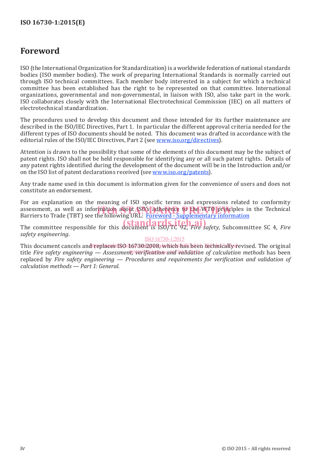### **Foreword**

ISO (the International Organization for Standardization) is a worldwide federation of national standards bodies (ISO member bodies). The work of preparing International Standards is normally carried out through ISO technical committees. Each member body interested in a subject for which a technical committee has been established has the right to be represented on that committee. International organizations, governmental and non-governmental, in liaison with ISO, also take part in the work. ISO collaborates closely with the International Electrotechnical Commission (IEC) on all matters of electrotechnical standardization.

The procedures used to develop this document and those intended for its further maintenance are described in the ISO/IEC Directives, Part 1. In particular the different approval criteria needed for the different types of ISO documents should be noted. This document was drafted in accordance with the editorial rules of the ISO/IEC Directives, Part 2 (see www.iso.org/directives).

Attention is drawn to the possibility that some of the elements of this document may be the subject of patent rights. ISO shall not be held responsible for identifying any or all such patent rights. Details of any patent rights identified during the development of the document will be in the Introduction and/or on the ISO list of patent declarations received (see www.iso.org/patents).

Any trade name used in this document is information given for the convenience of users and does not constitute an endorsement.

For an explanation on the meaning of ISO specific terms and expressions related to conformity assessment, as well as information about ISO's adherence to the WTO principles in the Technical<br>Barriers to Trade (TBT) see the following URL: Foreword - Supplementary information Barriers to Trade (TBT) see the following URL: Foreword - Supplementary information

The committee responsible for this document is ISO/TC 92, *Fire safety*, Subcommittee SC 4, *Fire* **COMPLE** *safety engineering*.

#### ISO 16730-1:2015

This document cancels and treplaces ISO 16730: 2008; which has been technically revised. The original title Fire safety engineering — Assessment, Verification and Validation of calculation methods has been replaced by *Fire safety engineering — Procedures and requirements for verification and validation of calculation methods — Part 1: General*.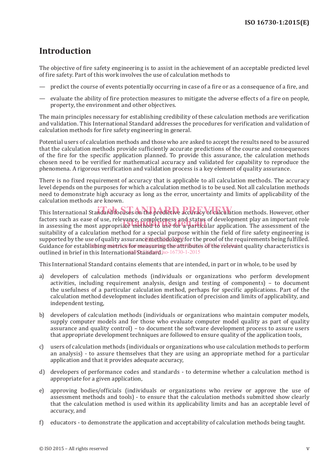### **Introduction**

The objective of fire safety engineering is to assist in the achievement of an acceptable predicted level of fire safety. Part of this work involves the use of calculation methods to

- predict the course of events potentially occurring in case of a fire or as a consequence of a fire, and
- evaluate the ability of fire protection measures to mitigate the adverse effects of a fire on people, property, the environment and other objectives.

The main principles necessary for establishing credibility of these calculation methods are verification and validation. This International Standard addresses the procedures for verification and validation of calculation methods for fire safety engineering in general.

Potential users of calculation methods and those who are asked to accept the results need to be assured that the calculation methods provide sufficiently accurate predictions of the course and consequences of the fire for the specific application planned. To provide this assurance, the calculation methods chosen need to be verified for mathematical accuracy and validated for capability to reproduce the phenomena. A rigorous verification and validation process is a key element of quality assurance.

There is no fixed requirement of accuracy that is applicable to all calculation methods. The accuracy level depends on the purposes for which a calculation method is to be used. Not all calculation methods need to demonstrate high accuracy as long as the error, uncertainty and limits of applicability of the calculation methods are known.

This International Standard focuses on the predictive accuracy of calculation methods. However, other factors such as ease of use, relevance, completeness and status of development play an important role factors such as ease of use, relevance, completeness and status of development play an important role<br>in assessing the most appropriate method to use for a particular application. The assessment of the suitability of a calculation method for a special purpose within the field of fire safety engineering is supported by the use of quality assurance methodology for the proof of the requirements being fulfilled. Guidance for establishing metrics for measuring the attributes of the relevant quality characteristics is outlined in brief in this Internation all Standard/iso-16730-1-2015

This International Standard contains elements that are intended, in part or in whole, to be used by

- a) developers of calculation methods (individuals or organizations who perform development activities, including requirement analysis, design and testing of components) – to document the usefulness of a particular calculation method, perhaps for specific applications. Part of the calculation method development includes identification of precision and limits of applicability, and independent testing,
- b) developers of calculation methods (individuals or organizations who maintain computer models, supply computer models and for those who evaluate computer model quality as part of quality assurance and quality control) – to document the software development process to assure users that appropriate development techniques are followed to ensure quality of the application tools,
- c) users of calculation methods (individuals or organizations who use calculation methods to perform an analysis) - to assure themselves that they are using an appropriate method for a particular application and that it provides adequate accuracy,
- d) developers of performance codes and standards to determine whether a calculation method is appropriate for a given application,
- e) approving bodies/officials (individuals or organizations who review or approve the use of assessment methods and tools) - to ensure that the calculation methods submitted show clearly that the calculation method is used within its applicability limits and has an acceptable level of accuracy, and
- f) educators to demonstrate the application and acceptability of calculation methods being taught.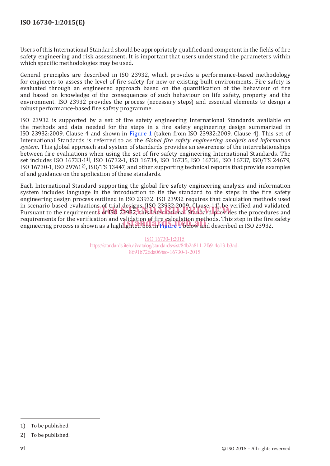Users of this International Standard should be appropriately qualified and competent in the fields of fire safety engineering and risk assessment. It is important that users understand the parameters within which specific methodologies may be used.

General principles are described in ISO 23932, which provides a performance-based methodology for engineers to assess the level of fire safety for new or existing built environments. Fire safety is evaluated through an engineered approach based on the quantification of the behaviour of fire and based on knowledge of the consequences of such behaviour on life safety, property and the environment. ISO 23932 provides the process (necessary steps) and essential elements to design a robust performance-based fire safety programme.

ISO 23932 is supported by a set of fire safety engineering International Standards available on the methods and data needed for the steps in a fire safety engineering design summarized in ISO 23932:2009, Clause 4 and shown in Figure 1 (taken from ISO 23932:2009, Clause 4). This set of International Standards is referred to as the *Global fire safety engineering analysis and information system*. This global approach and system of standards provides an awareness of the interrelationships between fire evaluations when using the set of fire safety engineering International Standards. The set includes ISO 16733-11), ISO 16732-1, ISO 16734, ISO 16735, ISO 16736, ISO 16737, ISO/TS 24679, ISO 16730-1, ISO 297612), ISO/TS 13447, and other supporting technical reports that provide examples of and guidance on the application of these standards.

Each International Standard supporting the global fire safety engineering analysis and information system includes language in the introduction to tie the standard to the steps in the fire safety engineering design process outlined in ISO 23932. ISO 23932 requires that calculation methods used in scenario-based evaluations of trial designs (ISO 23932:2009, Clause 11) be verified and validated. in scenario-based evaluations of trial designs (ISO 23932:2009, Clause TTJ be verified and validated.<br>Pursuant to the requirements of ISO 23932, this International Standard provides the procedures and requirements for the verification and validation of fire calculation methods. This step in the fire safety requirements for the verification and validation of fire calculation methods. This step in the fire<br>engineering process is shown as a highlighted box in <mark>Figure 1</mark> below and described in ISO 23932.

> ISO 16730-1:2015 https://standards.iteh.ai/catalog/standards/sist/84b2a811-2fa9-4c13-b3ad-8691b726da06/iso-16730-1-2015

<sup>1)</sup> To be published.

<sup>2)</sup> To be published.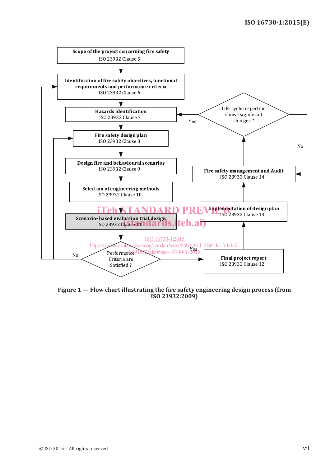

**Figure 1 — Flow chart illustrating the fire safety engineering design process (from ISO 23932:2009)**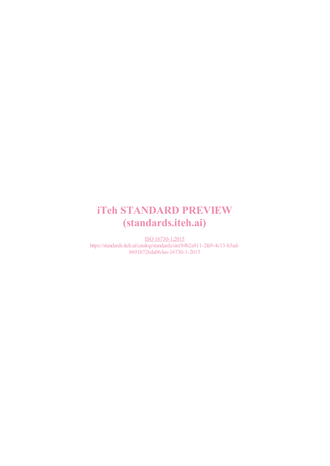## iTeh STANDARD PREVIEW (standards.iteh.ai)

ISO 16730-1:2015 https://standards.iteh.ai/catalog/standards/sist/84b2a811-2fa9-4c13-b3ad-8691b726da06/iso-16730-1-2015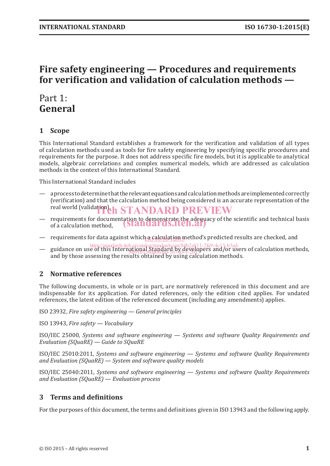### **Fire safety engineering — Procedures and requirements for verification and validation of calculation methods —**

### Part 1: **General**

### **1 Scope**

This International Standard establishes a framework for the verification and validation of all types of calculation methods used as tools for fire safety engineering by specifying specific procedures and requirements for the purpose. It does not address specific fire models, but it is applicable to analytical models, algebraic correlations and complex numerical models, which are addressed as calculation methods in the context of this International Standard.

This International Standard includes

- a process to determine that the relevant equations and calculation methods are implemented correctly (verification) and that the calculation method being considered is an accurate representation of the real world (validation). In STANDARD PREVIEW
- requirements for documentation to demonstrate the adequacy of the scientific and technical basis of a calculation method, (standards.iteh.ai)
- requirements for data against which <u>a calculation m</u>ethod's predicted results are checked, and
- guidance on use of this International Standard by developers and/or users of calculation methods, and by those assessing the results obtained by using calculation methods. https://standards.iteh.ai/catalog/standards/sist/84b2a811-2fa9-4c13-b3ad-8691b726da06/iso-16730-1-2015

### **2 Normative references**

The following documents, in whole or in part, are normatively referenced in this document and are indispensable for its application. For dated references, only the edition cited applies. For undated references, the latest edition of the referenced document (including any amendments) applies.

ISO 23932, *Fire safety engineering — General principles*

ISO 13943, *Fire safety — Vocabulary*

ISO/IEC 25000, *Systems and software engineering — Systems and software Quality Requirements and Evaluation (SQuaRE) — Guide to SQuaRE*

ISO/IEC 25010:2011, *Systems and software engineering — Systems and software Quality Requirements and Evaluation (SQuaRE) — System and software quality models*

ISO/IEC 25040:2011, *Systems and software engineering — Systems and software Quality Requirements and Evaluation (SQuaRE) — Evaluation process*

#### **3 Terms and definitions**

For the purposes of this document, the terms and definitions given in ISO 13943 and the following apply.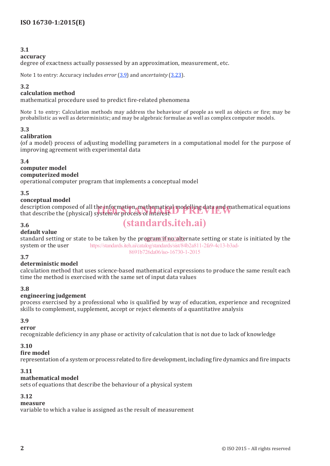#### **3.1**

#### **accuracy**

degree of exactness actually possessed by an approximation, measurement, etc.

Note 1 to entry: Accuracy includes *error* (3.9) and *uncertainty* (3.23).

#### **3.2**

#### **calculation method**

mathematical procedure used to predict fire-related phenomena

Note 1 to entry: Calculation methods may address the behaviour of people as well as objects or fire; may be probabilistic as well as deterministic; and may be algebraic formulae as well as complex computer models.

#### **3.3**

#### **calibration**

〈of a model〉 process of adjusting modelling parameters in a computational model for the purpose of improving agreement with experimental data

#### **3.4**

#### **computer model**

#### **computerized model**

operational computer program that implements a conceptual model

#### **3.5**

#### **conceptual model**

description composed of all the information, mathematical modelling data and mathematical equations description composed of all the information, mathematical modelling data and math<br>that describe the (physical) system or process of interest

(standards.iteh.ai)

#### **3.6**

#### **default value**

standard setting or state to be taken by the program if no alternate setting or state is initiated by the system or the user https://standards.iteh.ai/catalog/standards/sist/84b2a811-2fa9-4c13-b3ad-8691b726da06/iso-16730-1-2015

#### **3.7**

#### **deterministic model**

calculation method that uses science-based mathematical expressions to produce the same result each time the method is exercised with the same set of input data values

#### **3.8**

#### **engineering judgement**

process exercised by a professional who is qualified by way of education, experience and recognized skills to complement, supplement, accept or reject elements of a quantitative analysis

#### **3.9**

#### **error**

recognizable deficiency in any phase or activity of calculation that is not due to lack of knowledge

#### **3.10**

#### **fire model**

representation of a system or process related to fire development, including fire dynamics and fire impacts

#### **3.11**

#### **mathematical model**

sets of equations that describe the behaviour of a physical system

#### **3.12**

#### **measure**

variable to which a value is assigned as the result of measurement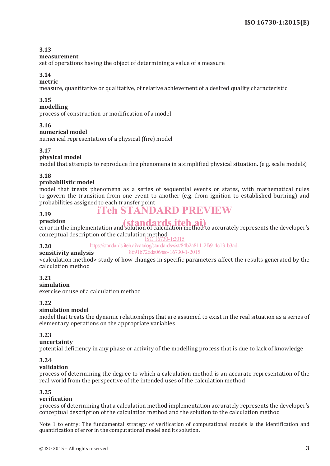#### **3.13**

#### **measurement**

set of operations having the object of determining a value of a measure

#### **3.14**

#### **metric**

measure, quantitative or qualitative, of relative achievement of a desired quality characteristic

#### **3.15**

#### **modelling**

process of construction or modification of a model

#### **3.16**

#### **numerical model**

numerical representation of a physical (fire) model

#### **3.17**

#### **physical model**

model that attempts to reproduce fire phenomena in a simplified physical situation. (e.g. scale models)

#### **3.18**

#### **probabilistic model**

model that treats phenomena as a series of sequential events or states, with mathematical rules to govern the transition from one event to another (e.g. from ignition to established burning) and probabilities assigned to each transfer point

### iTeh STANDARD PREVIEW

### **3.19**

8691b726da06/iso-16730-1-2015

**precision** precision<br>error in the implementation and solution of calculation method to accurately represents the developer's conceptual description of the calculation method 1:2015

**3.20** https://standards.iteh.ai/catalog/standards/sist/84b2a811-2fa9-4c13-b3ad-

#### **sensitivity analysis**

<calculation method> study of how changes in specific parameters affect the results generated by the calculation method

#### **3.21**

#### **simulation**

exercise or use of a calculation method

#### **3.22**

#### **simulation model**

model that treats the dynamic relationships that are assumed to exist in the real situation as a series of elementary operations on the appropriate variables

#### **3.23**

#### **uncertainty**

potential deficiency in any phase or activity of the modelling process that is due to lack of knowledge

#### **3.24**

#### **validation**

process of determining the degree to which a calculation method is an accurate representation of the real world from the perspective of the intended uses of the calculation method

#### **3.25**

#### **verification**

process of determining that a calculation method implementation accurately represents the developer's conceptual description of the calculation method and the solution to the calculation method

Note 1 to entry: The fundamental strategy of verification of computational models is the identification and quantification of error in the computational model and its solution.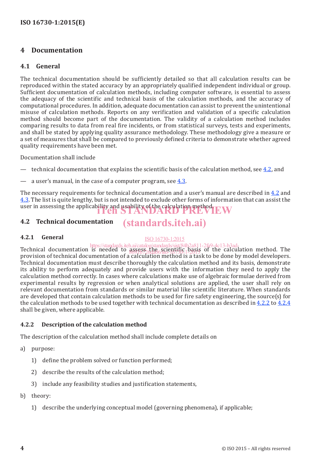#### **4 Documentation**

#### **4.1 General**

The technical documentation should be sufficiently detailed so that all calculation results can be reproduced within the stated accuracy by an appropriately qualified independent individual or group. Sufficient documentation of calculation methods, including computer software, is essential to assess the adequacy of the scientific and technical basis of the calculation methods, and the accuracy of computational procedures. In addition, adequate documentation can assist to prevent the unintentional misuse of calculation methods. Reports on any verification and validation of a specific calculation method should become part of the documentation. The validity of a calculation method includes comparing results to data from real fire incidents, or from statistical surveys, tests and experiments, and shall be stated by applying quality assurance methodology. These methodology give a measure or a set of measures that shall be compared to previously defined criteria to demonstrate whether agreed quality requirements have been met.

Documentation shall include

- technical documentation that explains the scientific basis of the calculation method, see 4.2, and
- a user's manual, in the case of a computer program, see  $4.3$ .

The necessary requirements for technical documentation and a user's manual are described in 4.2 and 4.3. The list is quite lengthy, but is not intended to exclude other forms of information that can assist the 4.3. The list is quite lengthy, but is not intended to exclude other forms of information that can assist the user in assessing the applicability and usability of the calculation method.  $\Gamma$  W  $\Gamma$  W

#### **4.2 Technical documentation** (standards.iteh.ai)

#### **4.2.1 General**

#### ISO 16730-1:2015

Technical documentation is needed to assess the scientific basis of the calculation method. The provision of technical documentation of a calculation method is a task to be done by model developers. Technical documentation must describe thoroughly the calculation method and its basis, demonstrate its ability to perform adequately and provide users with the information they need to apply the calculation method correctly. In cases where calculations make use of algebraic formulae derived from experimental results by regression or when analytical solutions are applied, the user shall rely on relevant documentation from standards or similar material like scientific literature. When standards are developed that contain calculation methods to be used for fire safety engineering, the source(s) for the calculation methods to be used together with technical documentation as described in 4.2.2 to 4.2.4 shall be given, where applicable. https://standards.iteh.ai/catalog/standards/sist/84b2a811-2fa9-4c13-b3ad-8691b726da06/iso-16730-1-2015

#### **4.2.2 Description of the calculation method**

The description of the calculation method shall include complete details on

- a) purpose:
	- 1) define the problem solved or function performed;
	- 2) describe the results of the calculation method;
	- 3) include any feasibility studies and justification statements,
- b) theory:
	- 1) describe the underlying conceptual model (governing phenomena), if applicable;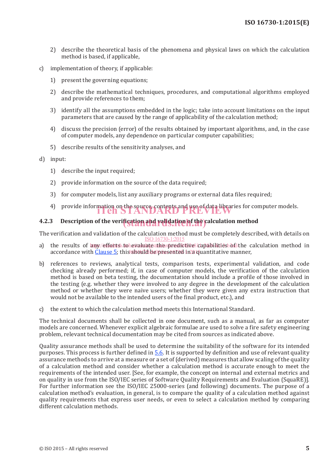- 2) describe the theoretical basis of the phenomena and physical laws on which the calculation method is based, if applicable,
- c) implementation of theory, if applicable:
	- 1) present the governing equations;
	- 2) describe the mathematical techniques, procedures, and computational algorithms employed and provide references to them;
	- 3) identify all the assumptions embedded in the logic; take into account limitations on the input parameters that are caused by the range of applicability of the calculation method;
	- 4) discuss the precision (error) of the results obtained by important algorithms, and, in the case of computer models, any dependence on particular computer capabilities;
	- 5) describe results of the sensitivity analyses, and
- d) input:
	- 1) describe the input required;
	- 2) provide information on the source of the data required;
	- 3) for computer models, list any auxiliary programs or external data files required;
	- 4) provide information on the source, contents and use of data libraries for computer models.

### **4.2.3** Description of the verification and validation of the calculation method

The verification and validation of the calculation method must be completely described, with details on ISO 16730-1:2015

- a) the results of any //efforts.to hevaluate the predictive capabilities of the calculation method in accordance with <u>Clause 5</u>; this should be presented in a quantitative manner,
- b) references to reviews, analytical tests, comparison tests, experimental validation, and code checking already performed; if, in case of computer models, the verification of the calculation method is based on beta testing, the documentation should include a profile of those involved in the testing (e.g. whether they were involved to any degree in the development of the calculation method or whether they were naive users; whether they were given any extra instruction that would not be available to the intended users of the final product, etc.), and
- c) the extent to which the calculation method meets this International Standard.

The technical documents shall be collected in one document, such as a manual, as far as computer models are concerned. Whenever explicit algebraic formulae are used to solve a fire safety engineering problem, relevant technical documentation may be cited from sources as indicated above.

Quality assurance methods shall be used to determine the suitability of the software for its intended purposes. This process is further defined in 5.6. It is supported by definition and use of relevant quality assurance methods to arrive at a measure or a set of (derived) measures that allow scaling of the quality of a calculation method and consider whether a calculation method is accurate enough to meet the requirements of the intended user. [See, for example, the concept on internal and external metrics and on quality in use from the ISO/IEC series of Software Quality Requirements and Evaluation (SquaRE)]. For further information see the ISO/IEC 25000-series (and following) documents. The purpose of a calculation method's evaluation, in general, is to compare the quality of a calculation method against quality requirements that express user needs, or even to select a calculation method by comparing different calculation methods.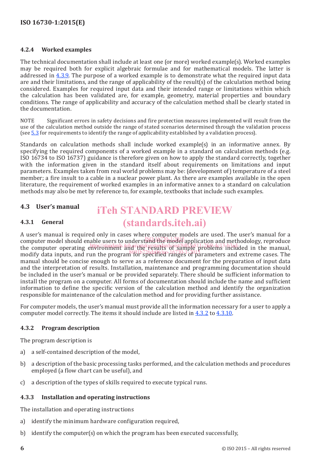#### **4.2.4 Worked examples**

The technical documentation shall include at least one (or more) worked example(s). Worked examples may be required both for explicit algebraic formulae and for mathematical models. The latter is addressed in 4.3.9. The purpose of a worked example is to demonstrate what the required input data are and their limitations, and the range of applicability of the result(s) of the calculation method being considered. Examples for required input data and their intended range or limitations within which the calculation has been validated are, for example, geometry, material properties and boundary conditions. The range of applicability and accuracy of the calculation method shall be clearly stated in the documentation.

NOTE Significant errors in safety decisions and fire protection measures implemented will result from the use of the calculation method outside the range of stated scenarios determined through the validation process (see 5.3 for requirements to identify the range of applicability established by a validation process).

Standards on calculation methods shall include worked example(s) in an informative annex. By specifying the required components of a worked example in a standard on calculation methods (e.g. ISO 16734 to ISO 16737) guidance is therefore given on how to apply the standard correctly, together with the information given in the standard itself about requirements on limitations and input parameters. Examples taken from real world problems may be: (development of) temperature of a steel member; a fire insult to a cable in a nuclear power plant. As there are examples available in the open literature, the requirement of worked examples in an informative annex to a standard on calculation methods may also be met by reference to, for example, textbooks that include such examples.

#### **4.3 User's manual 4.3.1 General** A user's manual is required only in cases where computer models are used. The user's manual for a iTeh STANDARD PREVIEW (standards.iteh.ai)

computer model should enable users to understand the model application and methodology, reproduce computer model should enable users to understand the model of the model of the model of the model of the model of the state the computer operating environment and the results of sample, problems included in the manual, and computer operating environment and of  $\frac{167}{260}$  of  $\frac{260}{200}$  observed in the mandal, modify data inputs, and run the program for specified ranges of parameters and extreme cases. The manual should be concise enough to serve as a reference document for the preparation of input data and the interpretation of results. Installation, maintenance and programming documentation should be included in the user's manual or be provided separately. There should be sufficient information to install the program on a computer. All forms of documentation should include the name and sufficient information to define the specific version of the calculation method and identify the organization responsible for maintenance of the calculation method and for providing further assistance.

For computer models, the user's manual must provide all the information necessary for a user to apply a computer model correctly. The items it should include are listed in 4.3.2 to 4.3.10.

#### **4.3.2 Program description**

The program description is

- a) a self-contained description of the model,
- b) a description of the basic processing tasks performed, and the calculation methods and procedures employed (a flow chart can be useful), and
- c) a description of the types of skills required to execute typical runs.

#### **4.3.3 Installation and operating instructions**

The installation and operating instructions

- a) identify the minimum hardware configuration required,
- b) identify the computer(s) on which the program has been executed successfully,